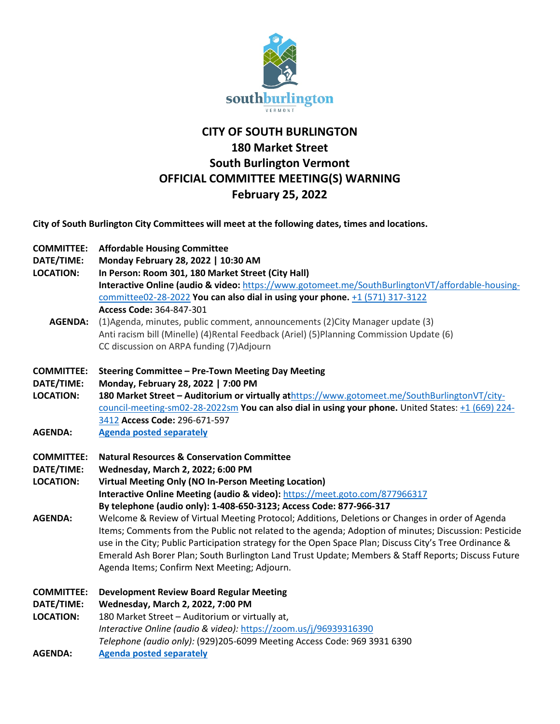

## **CITY OF SOUTH BURLINGTON 180 Market Street South Burlington Vermont OFFICIAL COMMITTEE MEETING(S) WARNING February 25, 2022**

**City of South Burlington City Committees will meet at the following dates, times and locations.** 

- **DATE/TIME: Monday February 28, 2022 | 10:30 AM**
- **LOCATION: In Person: Room 301, 180 Market Street (City Hall) Interactive Online (audio & video:** [https://www.gotomeet.me/SouthBurlingtonVT/affordable-housing](https://www.gotomeet.me/SouthBurlingtonVT/affordable-housing-committee02-28-2022)[committee02-28-2022](https://www.gotomeet.me/SouthBurlingtonVT/affordable-housing-committee02-28-2022) **You can also dial in using your phone.** [+1 \(571\) 317-3122](tel:+15713173122,,364847301) **Access Code:** 364-847-301
	- **AGENDA:** (1)Agenda, minutes, public comment, announcements (2)City Manager update (3) Anti racism bill (Minelle) (4)Rental Feedback (Ariel) (5)Planning Commission Update (6) CC discussion on ARPA funding (7)Adjourn
- **COMMITTEE: Steering Committee – Pre-Town Meeting Day Meeting**
- **DATE/TIME: Monday, February 28, 2022 | 7:00 PM**
- **LOCATION: 180 Market Street – Auditorium or virtually at**[https://www.gotomeet.me/SouthBurlingtonVT/city](https://www.gotomeet.me/SouthBurlingtonVT/city-council-meeting-sm02-28-2022sm)[council-meeting-sm02-28-2022sm](https://www.gotomeet.me/SouthBurlingtonVT/city-council-meeting-sm02-28-2022sm) **You can also dial in using your phone.** United States: [+1 \(669\) 224-](tel:+16692243412,,296671597) [3412](tel:+16692243412,,296671597) **Access Code:** 296-671-597
- **AGENDA: [Agenda posted separately](http://sbvt-records.info/WebLink/DocView.aspx?id=276635&dbid=0&repo=SBurl)**
- **COMMITTEE: Natural Resources & Conservation Committee**
- **DATE/TIME: Wednesday, March 2, 2022; 6:00 PM**
- **LOCATION: Virtual Meeting Only (NO In-Person Meeting Location) Interactive Online Meeting (audio & video):** <https://meet.goto.com/877966317> **By telephone (audio only): 1-408-650-3123; Access Code: 877-966-317**
- **AGENDA:** Welcome & Review of Virtual Meeting Protocol; Additions, Deletions or Changes in order of Agenda Items; Comments from the Public not related to the agenda; Adoption of minutes; Discussion: Pesticide use in the City; Public Participation strategy for the Open Space Plan; Discuss City's Tree Ordinance & Emerald Ash Borer Plan; South Burlington Land Trust Update; Members & Staff Reports; Discuss Future Agenda Items; Confirm Next Meeting; Adjourn.
- **COMMITTEE: Development Review Board Regular Meeting**
- **DATE/TIME: Wednesday, March 2, 2022, 7:00 PM**
- **LOCATION:** 180 Market Street Auditorium or virtually at, *Interactive Online (audio & video):* <https://zoom.us/j/96939316390> *Telephone (audio only):* (929)205-6099 Meeting Access Code: 969 3931 6390
- **AGENDA: [Agenda posted separately](https://sbvt-records.info/WebLink/Browse.aspx?id=40952&dbid=0&repo=SBurl)**